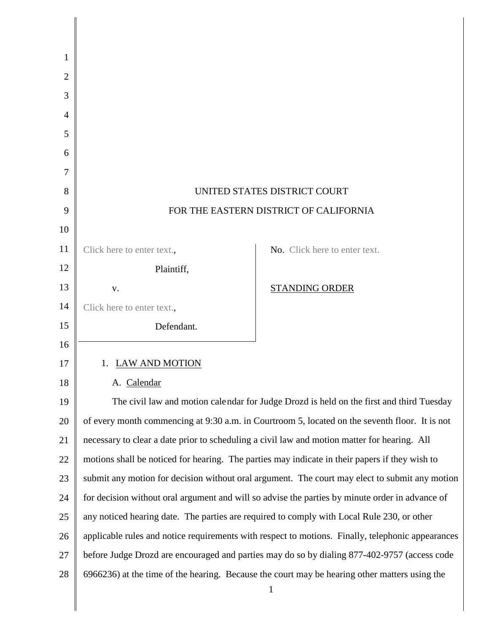| 1              |                                                                                                 |                                                                                                   |  |
|----------------|-------------------------------------------------------------------------------------------------|---------------------------------------------------------------------------------------------------|--|
| $\overline{2}$ |                                                                                                 |                                                                                                   |  |
| 3              |                                                                                                 |                                                                                                   |  |
| 4              |                                                                                                 |                                                                                                   |  |
| 5              |                                                                                                 |                                                                                                   |  |
| 6              |                                                                                                 |                                                                                                   |  |
| 7              |                                                                                                 |                                                                                                   |  |
| 8              | UNITED STATES DISTRICT COURT                                                                    |                                                                                                   |  |
| 9              | FOR THE EASTERN DISTRICT OF CALIFORNIA                                                          |                                                                                                   |  |
| 10             |                                                                                                 |                                                                                                   |  |
| 11             | Click here to enter text.,                                                                      | No. Click here to enter text.                                                                     |  |
| 12             | Plaintiff,                                                                                      |                                                                                                   |  |
| 13             | V.                                                                                              | <b>STANDING ORDER</b>                                                                             |  |
| 14             | Click here to enter text.,                                                                      |                                                                                                   |  |
| 15             | Defendant.                                                                                      |                                                                                                   |  |
| 16             |                                                                                                 |                                                                                                   |  |
| 17             | 1. LAW AND MOTION                                                                               |                                                                                                   |  |
| 18             | A. Calendar                                                                                     |                                                                                                   |  |
| 19             |                                                                                                 | The civil law and motion calendar for Judge Drozd is held on the first and third Tuesday          |  |
| 20             |                                                                                                 | of every month commencing at 9:30 a.m. in Courtroom 5, located on the seventh floor. It is not    |  |
| 21             |                                                                                                 | necessary to clear a date prior to scheduling a civil law and motion matter for hearing. All      |  |
| 22             |                                                                                                 | motions shall be noticed for hearing. The parties may indicate in their papers if they wish to    |  |
| 23             |                                                                                                 | submit any motion for decision without oral argument. The court may elect to submit any motion    |  |
| 24             | for decision without oral argument and will so advise the parties by minute order in advance of |                                                                                                   |  |
| 25             | any noticed hearing date. The parties are required to comply with Local Rule 230, or other      |                                                                                                   |  |
| 26             |                                                                                                 | applicable rules and notice requirements with respect to motions. Finally, telephonic appearances |  |
| 27             |                                                                                                 | before Judge Drozd are encouraged and parties may do so by dialing 877-402-9757 (access code      |  |
| 28             |                                                                                                 | 6966236) at the time of the hearing. Because the court may be hearing other matters using the     |  |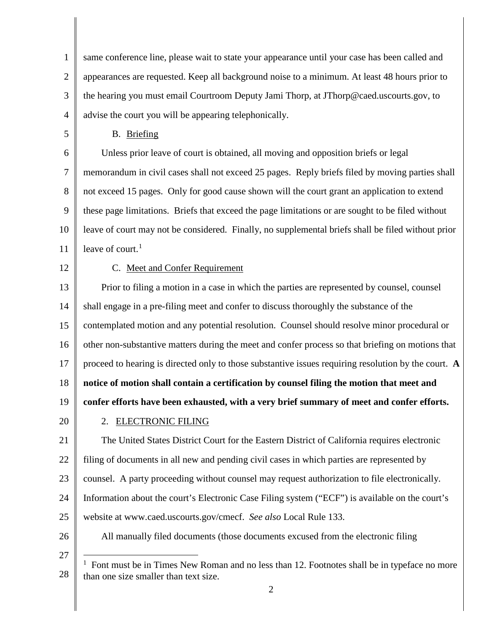1 2 3 4 same conference line, please wait to state your appearance until your case has been called and appearances are requested. Keep all background noise to a minimum. At least 48 hours prior to the hearing you must email Courtroom Deputy Jami Thorp, at JThorp@caed.uscourts.gov, to advise the court you will be appearing telephonically.

B. Briefing

6 7 8 9 10 11 Unless prior leave of court is obtained, all moving and opposition briefs or legal memorandum in civil cases shall not exceed 25 pages. Reply briefs filed by moving parties shall not exceed 15 pages. Only for good cause shown will the court grant an application to extend these page limitations. Briefs that exceed the page limitations or are sought to be filed without leave of court may not be considered. Finally, no supplemental briefs shall be filed without prior leave of court. $<sup>1</sup>$  $<sup>1</sup>$  $<sup>1</sup>$ </sup>

12

5

# C. Meet and Confer Requirement

13 14 15 16 17 18 19 20 21 22 Prior to filing a motion in a case in which the parties are represented by counsel, counsel shall engage in a pre-filing meet and confer to discuss thoroughly the substance of the contemplated motion and any potential resolution. Counsel should resolve minor procedural or other non-substantive matters during the meet and confer process so that briefing on motions that proceed to hearing is directed only to those substantive issues requiring resolution by the court. **A notice of motion shall contain a certification by counsel filing the motion that meet and confer efforts have been exhausted, with a very brief summary of meet and confer efforts.** 2. ELECTRONIC FILING The United States District Court for the Eastern District of California requires electronic filing of documents in all new and pending civil cases in which parties are represented by

23 counsel. A party proceeding without counsel may request authorization to file electronically.

- 24 25 Information about the court's Electronic Case Filing system ("ECF") is available on the court's website at www.caed.uscourts.gov/cmecf. *See also* Local Rule 133.
- 26

All manually filed documents (those documents excused from the electronic filing

<span id="page-1-0"></span>27

<sup>28</sup> <sup>1</sup> Font must be in Times New Roman and no less than 12. Footnotes shall be in typeface no more than one size smaller than text size.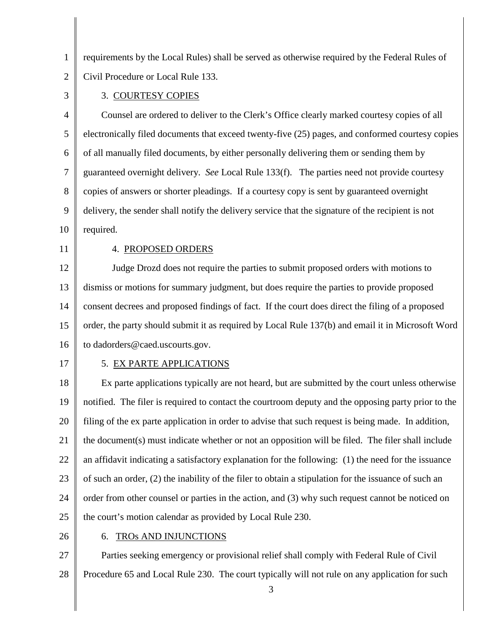1 2 requirements by the Local Rules) shall be served as otherwise required by the Federal Rules of Civil Procedure or Local Rule 133.

3

# 3. COURTESY COPIES

4 5 6 7 8 9 10 Counsel are ordered to deliver to the Clerk's Office clearly marked courtesy copies of all electronically filed documents that exceed twenty-five (25) pages, and conformed courtesy copies of all manually filed documents, by either personally delivering them or sending them by guaranteed overnight delivery. *See* Local Rule 133(f). The parties need not provide courtesy copies of answers or shorter pleadings. If a courtesy copy is sent by guaranteed overnight delivery, the sender shall notify the delivery service that the signature of the recipient is not required.

11

### 4. PROPOSED ORDERS

12 13 14 15 16 Judge Drozd does not require the parties to submit proposed orders with motions to dismiss or motions for summary judgment, but does require the parties to provide proposed consent decrees and proposed findings of fact. If the court does direct the filing of a proposed order, the party should submit it as required by Local Rule 137(b) and email it in Microsoft Word to dadorders@caed.uscourts.gov.

17

## 5. EX PARTE APPLICATIONS

18 19 20 21 22 23 24 25 Ex parte applications typically are not heard, but are submitted by the court unless otherwise notified. The filer is required to contact the courtroom deputy and the opposing party prior to the filing of the ex parte application in order to advise that such request is being made. In addition, the document(s) must indicate whether or not an opposition will be filed. The filer shall include an affidavit indicating a satisfactory explanation for the following: (1) the need for the issuance of such an order, (2) the inability of the filer to obtain a stipulation for the issuance of such an order from other counsel or parties in the action, and (3) why such request cannot be noticed on the court's motion calendar as provided by Local Rule 230.

26

#### 6. TROs AND INJUNCTIONS

27 28 Parties seeking emergency or provisional relief shall comply with Federal Rule of Civil Procedure 65 and Local Rule 230. The court typically will not rule on any application for such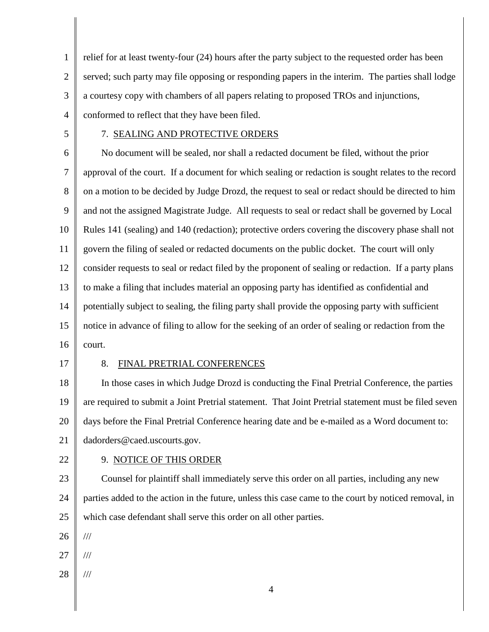1 2 3 4 relief for at least twenty-four (24) hours after the party subject to the requested order has been served; such party may file opposing or responding papers in the interim. The parties shall lodge a courtesy copy with chambers of all papers relating to proposed TROs and injunctions, conformed to reflect that they have been filed.

5

# 7. SEALING AND PROTECTIVE ORDERS

6 7 8 9 10 11 12 13 14 15 16 No document will be sealed, nor shall a redacted document be filed, without the prior approval of the court. If a document for which sealing or redaction is sought relates to the record on a motion to be decided by Judge Drozd, the request to seal or redact should be directed to him and not the assigned Magistrate Judge. All requests to seal or redact shall be governed by Local Rules 141 (sealing) and 140 (redaction); protective orders covering the discovery phase shall not govern the filing of sealed or redacted documents on the public docket. The court will only consider requests to seal or redact filed by the proponent of sealing or redaction. If a party plans to make a filing that includes material an opposing party has identified as confidential and potentially subject to sealing, the filing party shall provide the opposing party with sufficient notice in advance of filing to allow for the seeking of an order of sealing or redaction from the court.

17

#### 8. FINAL PRETRIAL CONFERENCES

18 19 20 21 In those cases in which Judge Drozd is conducting the Final Pretrial Conference, the parties are required to submit a Joint Pretrial statement. That Joint Pretrial statement must be filed seven days before the Final Pretrial Conference hearing date and be e-mailed as a Word document to: dadorders@caed.uscourts.gov.

22

# 9. NOTICE OF THIS ORDER

23 24 25 Counsel for plaintiff shall immediately serve this order on all parties, including any new parties added to the action in the future, unless this case came to the court by noticed removal, in which case defendant shall serve this order on all other parties.

26

///

- 27 ///
- 28 ///